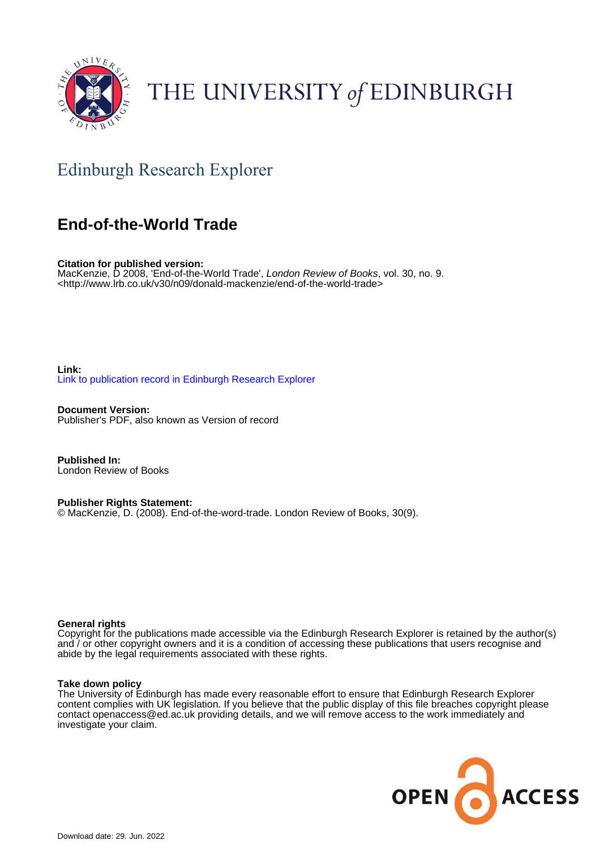

## THE UNIVERSITY of EDINBURGH

## Edinburgh Research Explorer

### **End-of-the-World Trade**

**Citation for published version:** MacKenzie, D 2008, 'End-of-the-World Trade', London Review of Books, vol. 30, no. 9. <<http://www.lrb.co.uk/v30/n09/donald-mackenzie/end-of-the-world-trade>>

**Link:** [Link to publication record in Edinburgh Research Explorer](https://www.research.ed.ac.uk/en/publications/c2120487-c3ac-450a-a7d8-ceb734873214)

**Document Version:** Publisher's PDF, also known as Version of record

**Published In:** London Review of Books

**Publisher Rights Statement:** © MacKenzie, D. (2008). End-of-the-word-trade. London Review of Books, 30(9).

#### **General rights**

Copyright for the publications made accessible via the Edinburgh Research Explorer is retained by the author(s) and / or other copyright owners and it is a condition of accessing these publications that users recognise and abide by the legal requirements associated with these rights.

#### **Take down policy**

The University of Edinburgh has made every reasonable effort to ensure that Edinburgh Research Explorer content complies with UK legislation. If you believe that the public display of this file breaches copyright please contact openaccess@ed.ac.uk providing details, and we will remove access to the work immediately and investigate your claim.

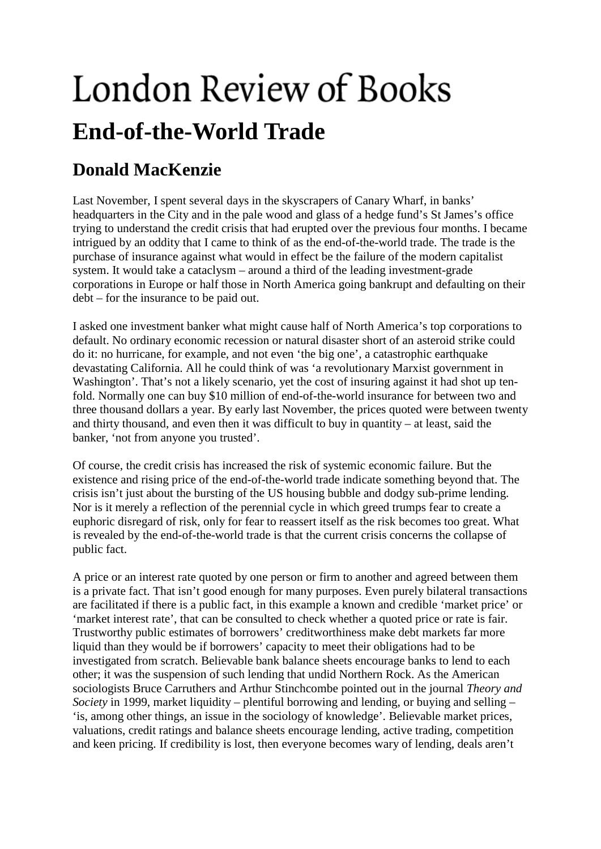# London Review of Books **End-of-the-World Trade**

## **Donald MacKenzie**

Last November, I spent several days in the skyscrapers of Canary Wharf, in banks' headquarters in the City and in the pale wood and glass of a hedge fund's St James's office trying to understand the credit crisis that had erupted over the previous four months. I became intrigued by an oddity that I came to think of as the end-of-the-world trade. The trade is the purchase of insurance against what would in effect be the failure of the modern capitalist system. It would take a cataclysm – around a third of the leading investment-grade corporations in Europe or half those in North America going bankrupt and defaulting on their debt – for the insurance to be paid out.

I asked one investment banker what might cause half of North America's top corporations to default. No ordinary economic recession or natural disaster short of an asteroid strike could do it: no hurricane, for example, and not even 'the big one', a catastrophic earthquake devastating California. All he could think of was 'a revolutionary Marxist government in Washington'. That's not a likely scenario, yet the cost of insuring against it had shot up tenfold. Normally one can buy \$10 million of end-of-the-world insurance for between two and three thousand dollars a year. By early last November, the prices quoted were between twenty and thirty thousand, and even then it was difficult to buy in quantity – at least, said the banker, 'not from anyone you trusted'.

Of course, the credit crisis has increased the risk of systemic economic failure. But the existence and rising price of the end-of-the-world trade indicate something beyond that. The crisis isn't just about the bursting of the US housing bubble and dodgy sub-prime lending. Nor is it merely a reflection of the perennial cycle in which greed trumps fear to create a euphoric disregard of risk, only for fear to reassert itself as the risk becomes too great. What is revealed by the end-of-the-world trade is that the current crisis concerns the collapse of public fact.

A price or an interest rate quoted by one person or firm to another and agreed between them is a private fact. That isn't good enough for many purposes. Even purely bilateral transactions are facilitated if there is a public fact, in this example a known and credible 'market price' or 'market interest rate', that can be consulted to check whether a quoted price or rate is fair. Trustworthy public estimates of borrowers' creditworthiness make debt markets far more liquid than they would be if borrowers' capacity to meet their obligations had to be investigated from scratch. Believable bank balance sheets encourage banks to lend to each other; it was the suspension of such lending that undid Northern Rock. As the American sociologists Bruce Carruthers and Arthur Stinchcombe pointed out in the journal *Theory and Society* in 1999, market liquidity – plentiful borrowing and lending, or buying and selling – 'is, among other things, an issue in the sociology of knowledge'. Believable market prices, valuations, credit ratings and balance sheets encourage lending, active trading, competition and keen pricing. If credibility is lost, then everyone becomes wary of lending, deals aren't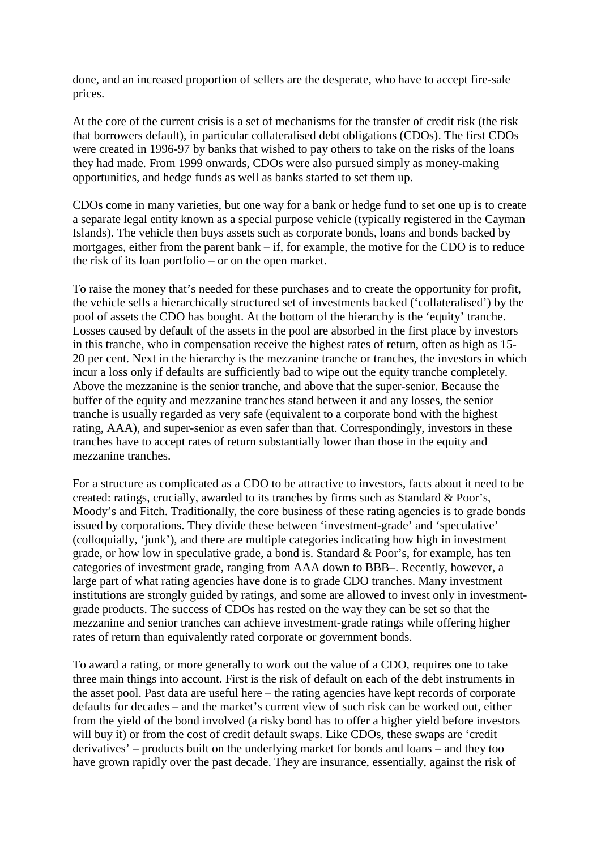done, and an increased proportion of sellers are the desperate, who have to accept fire-sale prices.

At the core of the current crisis is a set of mechanisms for the transfer of credit risk (the risk that borrowers default), in particular collateralised debt obligations (CDOs). The first CDOs were created in 1996-97 by banks that wished to pay others to take on the risks of the loans they had made. From 1999 onwards, CDOs were also pursued simply as money-making opportunities, and hedge funds as well as banks started to set them up.

CDOs come in many varieties, but one way for a bank or hedge fund to set one up is to create a separate legal entity known as a special purpose vehicle (typically registered in the Cayman Islands). The vehicle then buys assets such as corporate bonds, loans and bonds backed by mortgages, either from the parent bank – if, for example, the motive for the CDO is to reduce the risk of its loan portfolio – or on the open market.

To raise the money that's needed for these purchases and to create the opportunity for profit, the vehicle sells a hierarchically structured set of investments backed ('collateralised') by the pool of assets the CDO has bought. At the bottom of the hierarchy is the 'equity' tranche. Losses caused by default of the assets in the pool are absorbed in the first place by investors in this tranche, who in compensation receive the highest rates of return, often as high as 15- 20 per cent. Next in the hierarchy is the mezzanine tranche or tranches, the investors in which incur a loss only if defaults are sufficiently bad to wipe out the equity tranche completely. Above the mezzanine is the senior tranche, and above that the super-senior. Because the buffer of the equity and mezzanine tranches stand between it and any losses, the senior tranche is usually regarded as very safe (equivalent to a corporate bond with the highest rating, AAA), and super-senior as even safer than that. Correspondingly, investors in these tranches have to accept rates of return substantially lower than those in the equity and mezzanine tranches.

For a structure as complicated as a CDO to be attractive to investors, facts about it need to be created: ratings, crucially, awarded to its tranches by firms such as Standard & Poor's, Moody's and Fitch. Traditionally, the core business of these rating agencies is to grade bonds issued by corporations. They divide these between 'investment-grade' and 'speculative' (colloquially, 'junk'), and there are multiple categories indicating how high in investment grade, or how low in speculative grade, a bond is. Standard & Poor's, for example, has ten categories of investment grade, ranging from AAA down to BBB–. Recently, however, a large part of what rating agencies have done is to grade CDO tranches. Many investment institutions are strongly guided by ratings, and some are allowed to invest only in investmentgrade products. The success of CDOs has rested on the way they can be set so that the mezzanine and senior tranches can achieve investment-grade ratings while offering higher rates of return than equivalently rated corporate or government bonds.

To award a rating, or more generally to work out the value of a CDO, requires one to take three main things into account. First is the risk of default on each of the debt instruments in the asset pool. Past data are useful here – the rating agencies have kept records of corporate defaults for decades – and the market's current view of such risk can be worked out, either from the yield of the bond involved (a risky bond has to offer a higher yield before investors will buy it) or from the cost of credit default swaps. Like CDOs, these swaps are 'credit derivatives' – products built on the underlying market for bonds and loans – and they too have grown rapidly over the past decade. They are insurance, essentially, against the risk of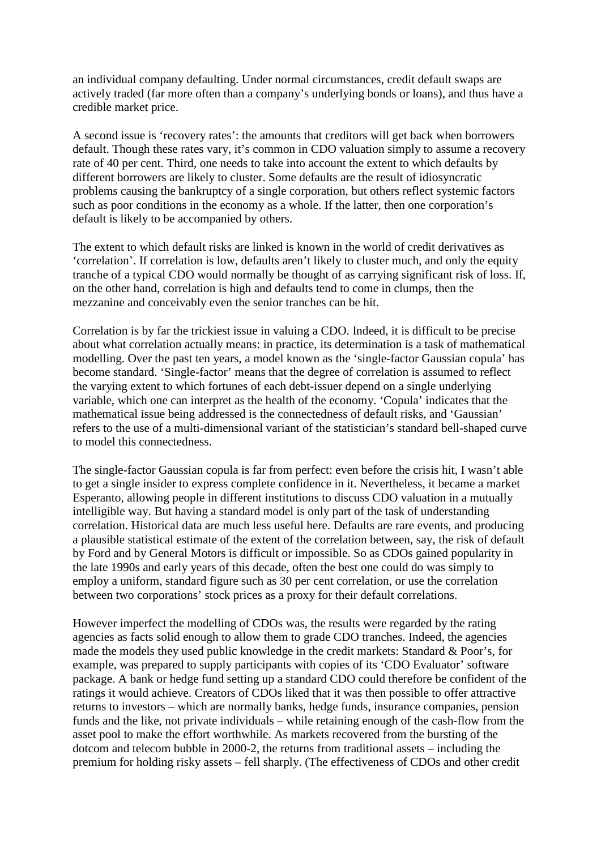an individual company defaulting. Under normal circumstances, credit default swaps are actively traded (far more often than a company's underlying bonds or loans), and thus have a credible market price.

A second issue is 'recovery rates': the amounts that creditors will get back when borrowers default. Though these rates vary, it's common in CDO valuation simply to assume a recovery rate of 40 per cent. Third, one needs to take into account the extent to which defaults by different borrowers are likely to cluster. Some defaults are the result of idiosyncratic problems causing the bankruptcy of a single corporation, but others reflect systemic factors such as poor conditions in the economy as a whole. If the latter, then one corporation's default is likely to be accompanied by others.

The extent to which default risks are linked is known in the world of credit derivatives as 'correlation'. If correlation is low, defaults aren't likely to cluster much, and only the equity tranche of a typical CDO would normally be thought of as carrying significant risk of loss. If, on the other hand, correlation is high and defaults tend to come in clumps, then the mezzanine and conceivably even the senior tranches can be hit.

Correlation is by far the trickiest issue in valuing a CDO. Indeed, it is difficult to be precise about what correlation actually means: in practice, its determination is a task of mathematical modelling. Over the past ten years, a model known as the 'single-factor Gaussian copula' has become standard. 'Single-factor' means that the degree of correlation is assumed to reflect the varying extent to which fortunes of each debt-issuer depend on a single underlying variable, which one can interpret as the health of the economy. 'Copula' indicates that the mathematical issue being addressed is the connectedness of default risks, and 'Gaussian' refers to the use of a multi-dimensional variant of the statistician's standard bell-shaped curve to model this connectedness.

The single-factor Gaussian copula is far from perfect: even before the crisis hit, I wasn't able to get a single insider to express complete confidence in it. Nevertheless, it became a market Esperanto, allowing people in different institutions to discuss CDO valuation in a mutually intelligible way. But having a standard model is only part of the task of understanding correlation. Historical data are much less useful here. Defaults are rare events, and producing a plausible statistical estimate of the extent of the correlation between, say, the risk of default by Ford and by General Motors is difficult or impossible. So as CDOs gained popularity in the late 1990s and early years of this decade, often the best one could do was simply to employ a uniform, standard figure such as 30 per cent correlation, or use the correlation between two corporations' stock prices as a proxy for their default correlations.

However imperfect the modelling of CDOs was, the results were regarded by the rating agencies as facts solid enough to allow them to grade CDO tranches. Indeed, the agencies made the models they used public knowledge in the credit markets: Standard & Poor's, for example, was prepared to supply participants with copies of its 'CDO Evaluator' software package. A bank or hedge fund setting up a standard CDO could therefore be confident of the ratings it would achieve. Creators of CDOs liked that it was then possible to offer attractive returns to investors – which are normally banks, hedge funds, insurance companies, pension funds and the like, not private individuals – while retaining enough of the cash-flow from the asset pool to make the effort worthwhile. As markets recovered from the bursting of the dotcom and telecom bubble in 2000-2, the returns from traditional assets – including the premium for holding risky assets – fell sharply. (The effectiveness of CDOs and other credit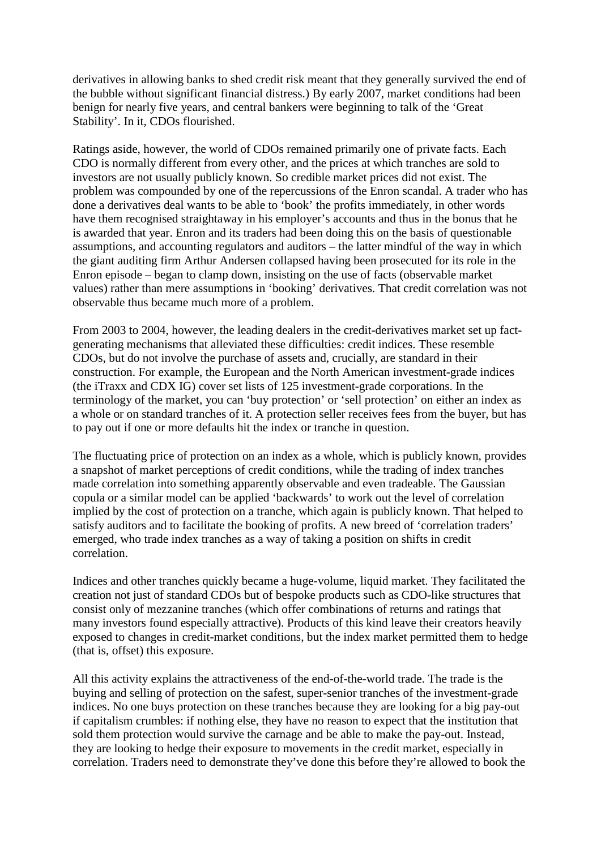derivatives in allowing banks to shed credit risk meant that they generally survived the end of the bubble without significant financial distress.) By early 2007, market conditions had been benign for nearly five years, and central bankers were beginning to talk of the 'Great Stability'. In it, CDOs flourished.

Ratings aside, however, the world of CDOs remained primarily one of private facts. Each CDO is normally different from every other, and the prices at which tranches are sold to investors are not usually publicly known. So credible market prices did not exist. The problem was compounded by one of the repercussions of the Enron scandal. A trader who has done a derivatives deal wants to be able to 'book' the profits immediately, in other words have them recognised straightaway in his employer's accounts and thus in the bonus that he is awarded that year. Enron and its traders had been doing this on the basis of questionable assumptions, and accounting regulators and auditors – the latter mindful of the way in which the giant auditing firm Arthur Andersen collapsed having been prosecuted for its role in the Enron episode – began to clamp down, insisting on the use of facts (observable market values) rather than mere assumptions in 'booking' derivatives. That credit correlation was not observable thus became much more of a problem.

From 2003 to 2004, however, the leading dealers in the credit-derivatives market set up factgenerating mechanisms that alleviated these difficulties: credit indices. These resemble CDOs, but do not involve the purchase of assets and, crucially, are standard in their construction. For example, the European and the North American investment-grade indices (the iTraxx and CDX IG) cover set lists of 125 investment-grade corporations. In the terminology of the market, you can 'buy protection' or 'sell protection' on either an index as a whole or on standard tranches of it. A protection seller receives fees from the buyer, but has to pay out if one or more defaults hit the index or tranche in question.

The fluctuating price of protection on an index as a whole, which is publicly known, provides a snapshot of market perceptions of credit conditions, while the trading of index tranches made correlation into something apparently observable and even tradeable. The Gaussian copula or a similar model can be applied 'backwards' to work out the level of correlation implied by the cost of protection on a tranche, which again is publicly known. That helped to satisfy auditors and to facilitate the booking of profits. A new breed of 'correlation traders' emerged, who trade index tranches as a way of taking a position on shifts in credit correlation.

Indices and other tranches quickly became a huge-volume, liquid market. They facilitated the creation not just of standard CDOs but of bespoke products such as CDO-like structures that consist only of mezzanine tranches (which offer combinations of returns and ratings that many investors found especially attractive). Products of this kind leave their creators heavily exposed to changes in credit-market conditions, but the index market permitted them to hedge (that is, offset) this exposure.

All this activity explains the attractiveness of the end-of-the-world trade. The trade is the buying and selling of protection on the safest, super-senior tranches of the investment-grade indices. No one buys protection on these tranches because they are looking for a big pay-out if capitalism crumbles: if nothing else, they have no reason to expect that the institution that sold them protection would survive the carnage and be able to make the pay-out. Instead, they are looking to hedge their exposure to movements in the credit market, especially in correlation. Traders need to demonstrate they've done this before they're allowed to book the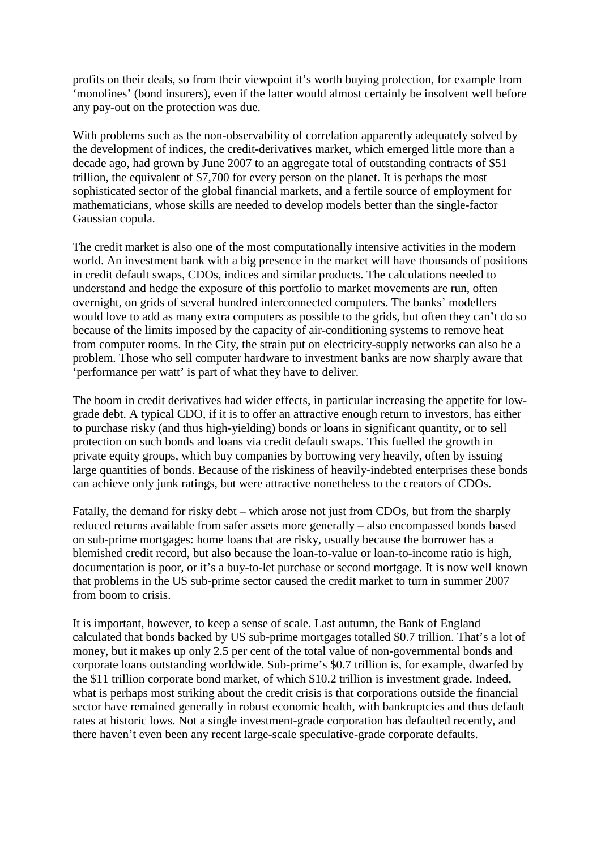profits on their deals, so from their viewpoint it's worth buying protection, for example from 'monolines' (bond insurers), even if the latter would almost certainly be insolvent well before any pay-out on the protection was due.

With problems such as the non-observability of correlation apparently adequately solved by the development of indices, the credit-derivatives market, which emerged little more than a decade ago, had grown by June 2007 to an aggregate total of outstanding contracts of \$51 trillion, the equivalent of \$7,700 for every person on the planet. It is perhaps the most sophisticated sector of the global financial markets, and a fertile source of employment for mathematicians, whose skills are needed to develop models better than the single-factor Gaussian copula.

The credit market is also one of the most computationally intensive activities in the modern world. An investment bank with a big presence in the market will have thousands of positions in credit default swaps, CDOs, indices and similar products. The calculations needed to understand and hedge the exposure of this portfolio to market movements are run, often overnight, on grids of several hundred interconnected computers. The banks' modellers would love to add as many extra computers as possible to the grids, but often they can't do so because of the limits imposed by the capacity of air-conditioning systems to remove heat from computer rooms. In the City, the strain put on electricity-supply networks can also be a problem. Those who sell computer hardware to investment banks are now sharply aware that 'performance per watt' is part of what they have to deliver.

The boom in credit derivatives had wider effects, in particular increasing the appetite for lowgrade debt. A typical CDO, if it is to offer an attractive enough return to investors, has either to purchase risky (and thus high-yielding) bonds or loans in significant quantity, or to sell protection on such bonds and loans via credit default swaps. This fuelled the growth in private equity groups, which buy companies by borrowing very heavily, often by issuing large quantities of bonds. Because of the riskiness of heavily-indebted enterprises these bonds can achieve only junk ratings, but were attractive nonetheless to the creators of CDOs.

Fatally, the demand for risky debt – which arose not just from CDOs, but from the sharply reduced returns available from safer assets more generally – also encompassed bonds based on sub-prime mortgages: home loans that are risky, usually because the borrower has a blemished credit record, but also because the loan-to-value or loan-to-income ratio is high, documentation is poor, or it's a buy-to-let purchase or second mortgage. It is now well known that problems in the US sub-prime sector caused the credit market to turn in summer 2007 from boom to crisis.

It is important, however, to keep a sense of scale. Last autumn, the Bank of England calculated that bonds backed by US sub-prime mortgages totalled \$0.7 trillion. That's a lot of money, but it makes up only 2.5 per cent of the total value of non-governmental bonds and corporate loans outstanding worldwide. Sub-prime's \$0.7 trillion is, for example, dwarfed by the \$11 trillion corporate bond market, of which \$10.2 trillion is investment grade. Indeed, what is perhaps most striking about the credit crisis is that corporations outside the financial sector have remained generally in robust economic health, with bankruptcies and thus default rates at historic lows. Not a single investment-grade corporation has defaulted recently, and there haven't even been any recent large-scale speculative-grade corporate defaults.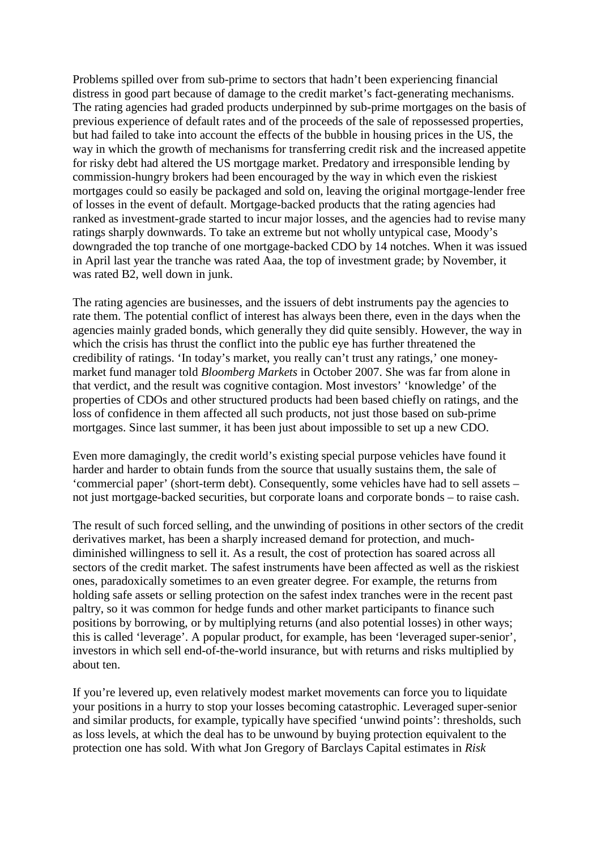Problems spilled over from sub-prime to sectors that hadn't been experiencing financial distress in good part because of damage to the credit market's fact-generating mechanisms. The rating agencies had graded products underpinned by sub-prime mortgages on the basis of previous experience of default rates and of the proceeds of the sale of repossessed properties, but had failed to take into account the effects of the bubble in housing prices in the US, the way in which the growth of mechanisms for transferring credit risk and the increased appetite for risky debt had altered the US mortgage market. Predatory and irresponsible lending by commission-hungry brokers had been encouraged by the way in which even the riskiest mortgages could so easily be packaged and sold on, leaving the original mortgage-lender free of losses in the event of default. Mortgage-backed products that the rating agencies had ranked as investment-grade started to incur major losses, and the agencies had to revise many ratings sharply downwards. To take an extreme but not wholly untypical case, Moody's downgraded the top tranche of one mortgage-backed CDO by 14 notches. When it was issued in April last year the tranche was rated Aaa, the top of investment grade; by November, it was rated B2, well down in junk.

The rating agencies are businesses, and the issuers of debt instruments pay the agencies to rate them. The potential conflict of interest has always been there, even in the days when the agencies mainly graded bonds, which generally they did quite sensibly. However, the way in which the crisis has thrust the conflict into the public eye has further threatened the credibility of ratings. 'In today's market, you really can't trust any ratings,' one moneymarket fund manager told *Bloomberg Markets* in October 2007. She was far from alone in that verdict, and the result was cognitive contagion. Most investors' 'knowledge' of the properties of CDOs and other structured products had been based chiefly on ratings, and the loss of confidence in them affected all such products, not just those based on sub-prime mortgages. Since last summer, it has been just about impossible to set up a new CDO.

Even more damagingly, the credit world's existing special purpose vehicles have found it harder and harder to obtain funds from the source that usually sustains them, the sale of 'commercial paper' (short-term debt). Consequently, some vehicles have had to sell assets – not just mortgage-backed securities, but corporate loans and corporate bonds – to raise cash.

The result of such forced selling, and the unwinding of positions in other sectors of the credit derivatives market, has been a sharply increased demand for protection, and muchdiminished willingness to sell it. As a result, the cost of protection has soared across all sectors of the credit market. The safest instruments have been affected as well as the riskiest ones, paradoxically sometimes to an even greater degree. For example, the returns from holding safe assets or selling protection on the safest index tranches were in the recent past paltry, so it was common for hedge funds and other market participants to finance such positions by borrowing, or by multiplying returns (and also potential losses) in other ways; this is called 'leverage'. A popular product, for example, has been 'leveraged super-senior', investors in which sell end-of-the-world insurance, but with returns and risks multiplied by about ten.

If you're levered up, even relatively modest market movements can force you to liquidate your positions in a hurry to stop your losses becoming catastrophic. Leveraged super-senior and similar products, for example, typically have specified 'unwind points': thresholds, such as loss levels, at which the deal has to be unwound by buying protection equivalent to the protection one has sold. With what Jon Gregory of Barclays Capital estimates in *Risk*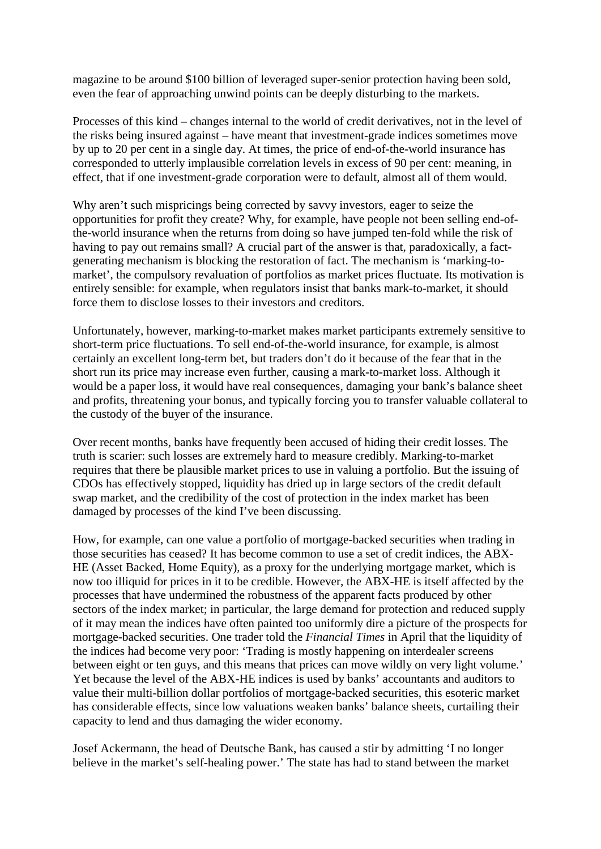magazine to be around \$100 billion of leveraged super-senior protection having been sold, even the fear of approaching unwind points can be deeply disturbing to the markets.

Processes of this kind – changes internal to the world of credit derivatives, not in the level of the risks being insured against – have meant that investment-grade indices sometimes move by up to 20 per cent in a single day. At times, the price of end-of-the-world insurance has corresponded to utterly implausible correlation levels in excess of 90 per cent: meaning, in effect, that if one investment-grade corporation were to default, almost all of them would.

Why aren't such mispricings being corrected by savvy investors, eager to seize the opportunities for profit they create? Why, for example, have people not been selling end-ofthe-world insurance when the returns from doing so have jumped ten-fold while the risk of having to pay out remains small? A crucial part of the answer is that, paradoxically, a factgenerating mechanism is blocking the restoration of fact. The mechanism is 'marking-tomarket', the compulsory revaluation of portfolios as market prices fluctuate. Its motivation is entirely sensible: for example, when regulators insist that banks mark-to-market, it should force them to disclose losses to their investors and creditors.

Unfortunately, however, marking-to-market makes market participants extremely sensitive to short-term price fluctuations. To sell end-of-the-world insurance, for example, is almost certainly an excellent long-term bet, but traders don't do it because of the fear that in the short run its price may increase even further, causing a mark-to-market loss. Although it would be a paper loss, it would have real consequences, damaging your bank's balance sheet and profits, threatening your bonus, and typically forcing you to transfer valuable collateral to the custody of the buyer of the insurance.

Over recent months, banks have frequently been accused of hiding their credit losses. The truth is scarier: such losses are extremely hard to measure credibly. Marking-to-market requires that there be plausible market prices to use in valuing a portfolio. But the issuing of CDOs has effectively stopped, liquidity has dried up in large sectors of the credit default swap market, and the credibility of the cost of protection in the index market has been damaged by processes of the kind I've been discussing.

How, for example, can one value a portfolio of mortgage-backed securities when trading in those securities has ceased? It has become common to use a set of credit indices, the ABX-HE (Asset Backed, Home Equity), as a proxy for the underlying mortgage market, which is now too illiquid for prices in it to be credible. However, the ABX-HE is itself affected by the processes that have undermined the robustness of the apparent facts produced by other sectors of the index market; in particular, the large demand for protection and reduced supply of it may mean the indices have often painted too uniformly dire a picture of the prospects for mortgage-backed securities. One trader told the *Financial Times* in April that the liquidity of the indices had become very poor: 'Trading is mostly happening on interdealer screens between eight or ten guys, and this means that prices can move wildly on very light volume.' Yet because the level of the ABX-HE indices is used by banks' accountants and auditors to value their multi-billion dollar portfolios of mortgage-backed securities, this esoteric market has considerable effects, since low valuations weaken banks' balance sheets, curtailing their capacity to lend and thus damaging the wider economy.

Josef Ackermann, the head of Deutsche Bank, has caused a stir by admitting 'I no longer believe in the market's self-healing power.' The state has had to stand between the market